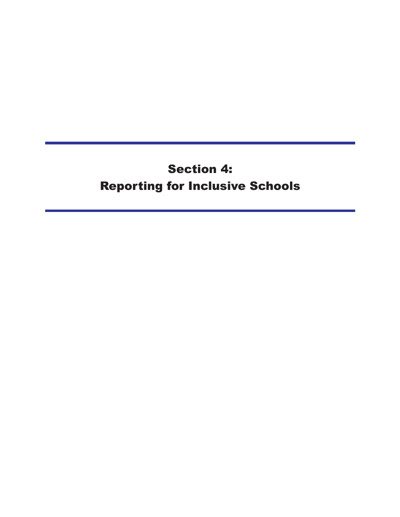# **Section 4: Reporting for Inclusive Schools**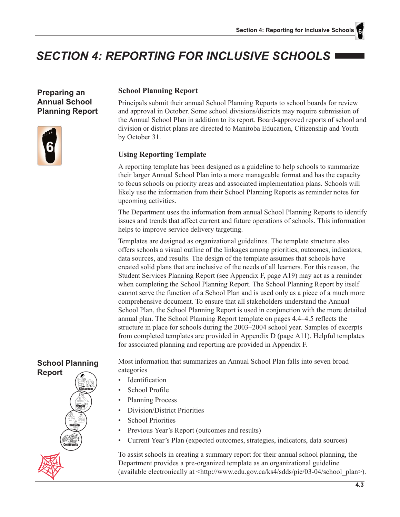# SECTION 4: REPORTING FOR INCLUSIVE SCHOOLS I

**Preparing an Annual School Planning Report** 



#### **School Planning Report**

Principals submit their annual School Planning Reports to school boards for review and approval in October. Some school divisions/districts may require submission of the Annual School Plan in addition to its report. Board-approved reports of school and division or district plans are directed to Manitoba Education, Citizenship and Youth by October 31.

## **Using Reporting Template**

A reporting template has been designed as a guideline to help schools to summarize their larger Annual School Plan into a more manageable format and has the capacity to focus schools on priority areas and associated implementation plans. Schools will likely use the information from their School Planning Reports as reminder notes for upcoming activities.

The Department uses the information from annual School Planning Reports to identify issues and trends that affect current and future operations of schools. This information helps to improve service delivery targeting.

Templates are designed as organizational guidelines. The template structure also offers schools a visual outline of the linkages among priorities, outcomes, indicators, data sources, and results. The design of the template assumes that schools have created solid plans that are inclusive of the needs of all learners. For this reason, the Student Services Planning Report (see Appendix F, page A19) may act as a reminder when completing the School Planning Report. The School Planning Report by itself cannot serve the function of a School Plan and is used only as a piece of a much more comprehensive document. To ensure that all stakeholders understand the Annual School Plan, the School Planning Report is used in conjunction with the more detailed annual plan. The School Planning Report template on pages 4.4–4.5 reflects the structure in place for schools during the 2003–2004 school year. Samples of excerpts from completed templates are provided in Appendix D (page A11). Helpful templates for associated planning and reporting are provided in Appendix F.

# **School Planning**



Most information that summarizes an Annual School Plan falls into seven broad categories

- $\bullet$ Identification
- School Profile
- **Planning Process**
- Division/District Priorities
- **School Priorities**
- $\bullet$ Previous Year's Report (outcomes and results)
- Current Year's Plan (expected outcomes, strategies, indicators, data sources)

To assist schools in creating a summary report for their annual school planning, the Department provides a pre-organized template as an organizational guideline (available electronically at  $\langle \text{http://www.edu.gov.ca/ks4/sdds/pie/03-04/school plan>}\rangle$ ).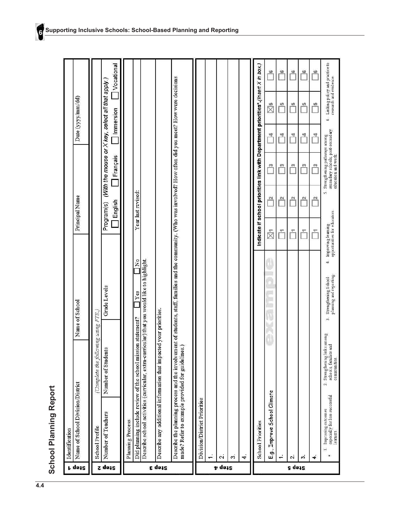| School Planning Report |
|------------------------|
|                        |

|               | Identification                                                                        |                                                                                |                                                                                                                                                                 |                                                        |                                                                                   |                                                                                         |           |                    |                                                          |
|---------------|---------------------------------------------------------------------------------------|--------------------------------------------------------------------------------|-----------------------------------------------------------------------------------------------------------------------------------------------------------------|--------------------------------------------------------|-----------------------------------------------------------------------------------|-----------------------------------------------------------------------------------------|-----------|--------------------|----------------------------------------------------------|
| r qəiz        | Name of School Division/District                                                      |                                                                                | Name of School                                                                                                                                                  |                                                        | Principal Name                                                                    |                                                                                         |           | Date (yyyy/mm/dd)  |                                                          |
| Step 2        | Number of Teachers<br><b>School Profile</b>                                           | (Complete the following using FIE.)<br>Number of Students                      | <b>Grade Levels</b>                                                                                                                                             |                                                        | Program(s)                                                                        | (With the mouse or X key, select all that apply.)                                       |           |                    |                                                          |
|               |                                                                                       |                                                                                |                                                                                                                                                                 |                                                        | English                                                                           | Français                                                                                | Immersion |                    | Vocational                                               |
|               | Planning Process                                                                      |                                                                                |                                                                                                                                                                 |                                                        |                                                                                   |                                                                                         |           |                    |                                                          |
|               | Did planning include review of the school mission statement?                          |                                                                                | Describe school activities (curricular, extra-curricular) that you would like to highlight<br>$\mathbf{Y}$ es                                                   | $\tilde{z}$                                            | Year last revised:                                                                |                                                                                         |           |                    |                                                          |
| s qoiz        | Describe any additional information that impacted your priorities.                    |                                                                                |                                                                                                                                                                 |                                                        |                                                                                   |                                                                                         |           |                    |                                                          |
|               | made? Refer to example provided for guidelines.)                                      |                                                                                | Describe the planning process and the involvement of students, staff, families and the community. (Who was involved? How often did you meet? How were decisions |                                                        |                                                                                   |                                                                                         |           |                    |                                                          |
|               | Division/District Priorities<br>÷                                                     |                                                                                |                                                                                                                                                                 |                                                        |                                                                                   |                                                                                         |           |                    |                                                          |
| <b>p</b> dess | $\overline{\mathbf{C}}$                                                               |                                                                                |                                                                                                                                                                 |                                                        |                                                                                   |                                                                                         |           |                    |                                                          |
|               | 6                                                                                     |                                                                                |                                                                                                                                                                 |                                                        |                                                                                   |                                                                                         |           |                    |                                                          |
|               | 4                                                                                     |                                                                                |                                                                                                                                                                 |                                                        |                                                                                   |                                                                                         |           |                    |                                                          |
|               | <b>School Priorities</b>                                                              |                                                                                |                                                                                                                                                                 |                                                        | Indicate if school priorities link with Department priorities*.(Insert X in box.) |                                                                                         |           |                    |                                                          |
|               | E.g., Improve School Climate                                                          |                                                                                |                                                                                                                                                                 | ż                                                      | $\overline{u}$                                                                    | $\mathbf{r}$                                                                            | 킥         | $\mathbb{\bar{Z}}$ | 69                                                       |
|               | ÷                                                                                     |                                                                                |                                                                                                                                                                 |                                                        | $\overline{\phantom{a}}$                                                          | r                                                                                       | 변         | AD.                | ø                                                        |
| g dass        | $\sim$                                                                                |                                                                                |                                                                                                                                                                 | ٣                                                      | 쯴                                                                                 | 鹨                                                                                       | <u>역</u>  | 响                  | 6                                                        |
|               | ö                                                                                     |                                                                                |                                                                                                                                                                 | Z.                                                     | $\overline{\mathbb{N}}$                                                           | m                                                                                       | <u>백</u>  | 峅                  | 49                                                       |
|               | 4                                                                                     |                                                                                |                                                                                                                                                                 | Ť                                                      | $\overline{\mathbf{c}}$                                                           | 作                                                                                       | 4         | un.                | 協                                                        |
|               | especially for less successful<br>Improving outcomes<br>leaners<br>$\rightarrow$<br>箒 | Strengthemng links among<br>and<br>schools, families<br>communities.<br>$\sim$ | Strengthening School<br>plaming and reporting<br>ò                                                                                                              | Improving learning<br>opportunities for educators<br>4 | $\sim$                                                                            | secondary schools, post-secondary<br>education and work<br>Strengthening pathways among |           | Ġ                  | Linking policy and practice to<br>research and evidence. |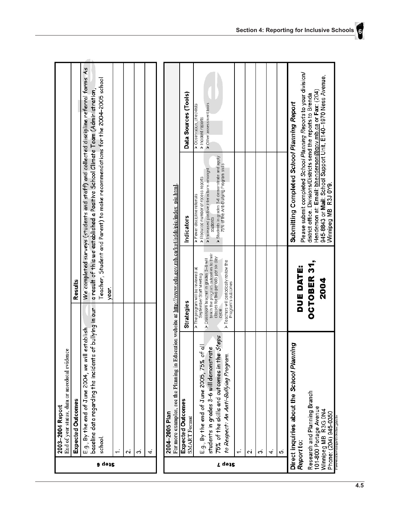|        | End of year status, data or anecdotal evidence<br>2003-2004 Report                                                                  |                                                                                                        |                                                                                                                                                                                                                                                           |                                                 |
|--------|-------------------------------------------------------------------------------------------------------------------------------------|--------------------------------------------------------------------------------------------------------|-----------------------------------------------------------------------------------------------------------------------------------------------------------------------------------------------------------------------------------------------------------|-------------------------------------------------|
|        | <b>Expected Outcomes</b>                                                                                                            | Results                                                                                                |                                                                                                                                                                                                                                                           |                                                 |
| atep 6 | baseline data regarding the incidents of bullying in our<br>establish<br>E.g., By the end of June 2004, we will<br>school.          | year.                                                                                                  | We completed surveys (students and staff) and collected discipline referral forms. As<br>Teacher, Student and Parent) to make recommendations for the 2004–2005 school<br>a result of this we established a Positive School Climate Team (Administration, |                                                 |
|        |                                                                                                                                     |                                                                                                        |                                                                                                                                                                                                                                                           |                                                 |
|        | $\mathbf{a}$                                                                                                                        |                                                                                                        |                                                                                                                                                                                                                                                           |                                                 |
|        | ø                                                                                                                                   |                                                                                                        |                                                                                                                                                                                                                                                           |                                                 |
|        | ₹                                                                                                                                   |                                                                                                        |                                                                                                                                                                                                                                                           |                                                 |
|        | For more examples, see the Planning in Education website at http://www.edu.gov.mb.ca/ks4/sdds/pie/index_pie.html.<br>2004-2005 Plan |                                                                                                        |                                                                                                                                                                                                                                                           |                                                 |
|        | Expected Outcomes<br>SMART Format                                                                                                   | Strategies                                                                                             | <b>Indicators</b>                                                                                                                                                                                                                                         | Data Sources (Tools)                            |
|        | E.g., By the end of June 2005, 75% of all                                                                                           | > Classroom teacher in grades 3-6 will<br>> The program will be reviewed at<br>September Staff Meeting | > Reduced number of recess reports<br>> Fewer discipline referrals                                                                                                                                                                                        | > Observation, checklists<br>> Incident reports |
|        | 75% of the skills and outcomes in the Steps<br>students in grades 3-6 will demonstrate                                              | teach the program outcomes to their<br>classes for two periods per six day<br>cycle                    | > Students in grades 3-6 demonstrate and apply<br>75% of the Ant-Bullying Program skills<br>> Increased positive interactions amongst<br>students                                                                                                         | > Other assessment tools                        |
| T qoi2 | to Respect: An Anti-Bullying Program.                                                                                               | > Teachers will periodically review the<br>Program's outcomes                                          |                                                                                                                                                                                                                                                           |                                                 |
|        |                                                                                                                                     |                                                                                                        |                                                                                                                                                                                                                                                           |                                                 |
|        | $\overline{\mathcal{L}}$                                                                                                            |                                                                                                        |                                                                                                                                                                                                                                                           |                                                 |
|        | Ö                                                                                                                                   |                                                                                                        |                                                                                                                                                                                                                                                           |                                                 |
|        | 4                                                                                                                                   |                                                                                                        |                                                                                                                                                                                                                                                           |                                                 |
|        | ιó                                                                                                                                  |                                                                                                        |                                                                                                                                                                                                                                                           |                                                 |
|        | Direct inquiries about the School Planning<br>Report to:                                                                            | DUE DATE:                                                                                              | Please submit completed School Planning Reports to your division/<br>Submitting Completed School Planning Report                                                                                                                                          |                                                 |
|        | Research and Planning Branch<br>101-800 Portage Avenue<br>Winnipeg MB R3G 0N4<br>Phone: (204) 945-0350                              | OCTOBER 31,<br>2004                                                                                    | 945-8843 or Mail: School Support Unit, E140-1970 Ness Avenue,<br>Henderson at: Email: bhenderson@gov.mb.ca or Fax: (204)<br>district office. Divisions/Districts send the reports to Brenda<br>Winnipeg MB R3J 0Y9.                                       |                                                 |
|        | opundToot390-20.44.pp3.ps4eer.ex.E                                                                                                  |                                                                                                        |                                                                                                                                                                                                                                                           |                                                 |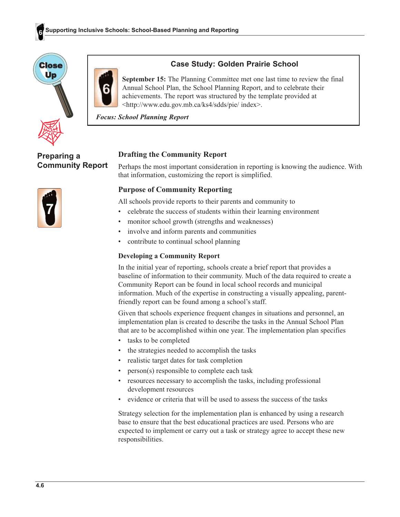



# **Case Study: Golden Prairie School**

September 15: The Planning Committee met one last time to review the final Annual School Plan, the School Planning Report, and to celebrate their achievements. The report was structured by the template provided at <http://www.edu.gov.mb.ca/ks4/sdds/pie/ index>.

**Focus: School Planning Report** 

**Preparing a Community Report** 



# **Drafting the Community Report**

Perhaps the most important consideration in reporting is knowing the audience. With that information, customizing the report is simplified.

## **Purpose of Community Reporting**

All schools provide reports to their parents and community to

- $\bullet$  . celebrate the success of students within their learning environment
- monitor school growth (strengths and weaknesses)
- involve and inform parents and communities
- contribute to continual school planning

#### **Developing a Community Report**

In the initial year of reporting, schools create a brief report that provides a baseline of information to their community. Much of the data required to create a Community Report can be found in local school records and municipal information. Much of the expertise in constructing a visually appealing, parentfriendly report can be found among a school's staff.

Given that schools experience frequent changes in situations and personnel, an implementation plan is created to describe the tasks in the Annual School Plan that are to be accomplished within one year. The implementation plan specifies

- tasks to be completed
- the strategies needed to accomplish the tasks
- realistic target dates for task completion
- person(s) responsible to complete each task
- resources necessary to accomplish the tasks, including professional development resources
- evidence or criteria that will be used to assess the success of the tasks

Strategy selection for the implementation plan is enhanced by using a research base to ensure that the best educational practices are used. Persons who are expected to implement or carry out a task or strategy agree to accept these new responsibilities.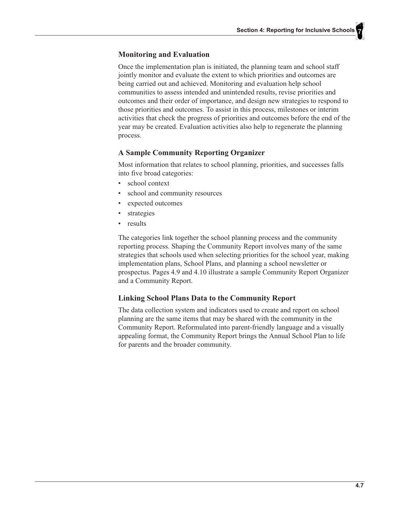#### **Monitoring and Evaluation**

Once the implementation plan is initiated, the planning team and school staff jointly monitor and evaluate the extent to which priorities and outcomes are being carried out and achieved. Monitoring and evaluation help school communities to assess intended and unintended results, revise priorities and outcomes and their order of importance, and design new strategies to respond to those priorities and outcomes. To assist in this process, milestones or interim activities that check the progress of priorities and outcomes before the end of the year may be created. Evaluation activities also help to regenerate the planning process.

## **A Sample Community Reporting Organizer**

Most information that relates to school planning, priorities, and successes falls into five broad categories:

- school context
- school and community resources
- expected outcomes
- strategies
- results

The categories link together the school planning process and the community reporting process. Shaping the Community Report involves many of the same strategies that schools used when selecting priorities for the school year, making implementation plans, School Plans, and planning a school newsletter or prospectus. Pages 4.9 and 4.10 illustrate a sample Community Report Organizer and a Community Report.

# **Linking School Plans Data to the Community Report**

The data collection system and indicators used to create and report on school planning are the same items that may be shared with the community in the Community Report. Reformulated into parent-friendly language and a visually appealing format, the Community Report brings the Annual School Plan to life for parents and the broader community.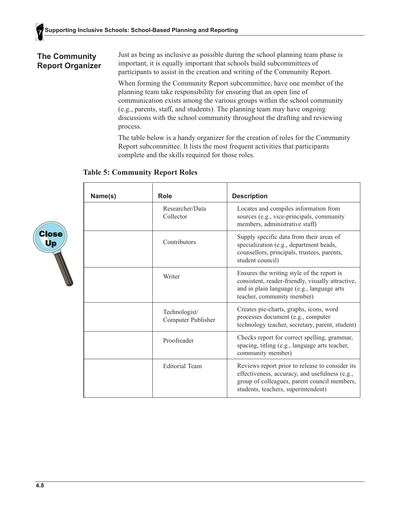# **The Community Report Organizer**

Just as being as inclusive as possible during the school planning team phase is important, it is equally important that schools build subcommittees of participants to assist in the creation and writing of the Community Report.

When forming the Community Report subcommittee, have one member of the planning team take responsibility for ensuring that an open line of communication exists among the various groups within the school community (e.g., parents, staff, and students). The planning team may have ongoing discussions with the school community throughout the drafting and reviewing process.

The table below is a handy organizer for the creation of roles for the Community Report subcommittee. It lists the most frequent activities that participants complete and the skills required for those roles.

## **Table 5: Community Report Roles**



| Name(s) | <b>Role</b>                         | <b>Description</b>                                                                                                                                                                       |
|---------|-------------------------------------|------------------------------------------------------------------------------------------------------------------------------------------------------------------------------------------|
|         | Researcher/Data<br>Collector        | Locates and compiles information from<br>sources (e.g., vice-principals, community<br>members, administrative staff)                                                                     |
|         | Contributors                        | Supply specific data from their areas of<br>specialization (e.g., department heads,<br>counsellors, principals, trustees, parents,<br>student council)                                   |
|         | Writer                              | Ensures the writing style of the report is<br>consistent, reader-friendly, visually attractive,<br>and in plain language (e.g., language arts<br>teacher, community member)              |
|         | Technologist/<br>Computer Publisher | Creates pie-charts, graphs, icons, word<br>processes document (e.g., computer<br>technology teacher, secretary, parent, student)                                                         |
|         | Proofreader                         | Checks report for correct spelling, grammar,<br>spacing, titling (e.g., language arts teacher,<br>community member)                                                                      |
|         | <b>Editorial Team</b>               | Reviews report prior to release to consider its<br>effectiveness, accuracy, and usefulness (e.g.,<br>group of colleagues, parent council members,<br>students, teachers, superintendent) |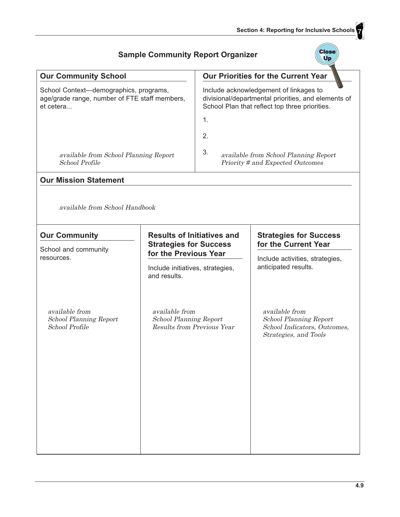$\sqrt{\frac{1}{2}}$ 

|                                                                                                      | <b>Sample Community Report Organizer</b>                                      |                                                                                                                                                             |                                                                                                          |  |
|------------------------------------------------------------------------------------------------------|-------------------------------------------------------------------------------|-------------------------------------------------------------------------------------------------------------------------------------------------------------|----------------------------------------------------------------------------------------------------------|--|
| <b>Our Community School</b>                                                                          |                                                                               |                                                                                                                                                             | Our Priorities for the Current Year                                                                      |  |
| School Context-demographics, programs,<br>age/grade range, number of FTE staff members,<br>et cetera |                                                                               | Include acknowledgement of linkages to<br>divisional/departmental priorities, and elements of<br>School Plan that reflect top three priorities.<br>1.<br>2. |                                                                                                          |  |
| available from School Planning Report<br>School Profile                                              |                                                                               | 3.                                                                                                                                                          | available from School Planning Report<br>Priority # and Expected Outcomes                                |  |
| <b>Our Mission Statement</b>                                                                         |                                                                               |                                                                                                                                                             |                                                                                                          |  |
| available from School Handbook<br><b>Our Community</b>                                               | <b>Results of Initiatives and</b>                                             |                                                                                                                                                             | <b>Strategies for Success</b>                                                                            |  |
| School and community                                                                                 | <b>Strategies for Success</b><br>for the Previous Year                        |                                                                                                                                                             | for the Current Year                                                                                     |  |
| resources.<br>and results.                                                                           |                                                                               | Include initiatives, strategies,                                                                                                                            | Include activities, strategies,<br>anticipated results.                                                  |  |
| available from<br>School Planning Report<br>School Profile                                           | available from<br><b>School Planning Report</b><br>Results from Previous Year |                                                                                                                                                             | available from<br><b>School Planning Report</b><br>School Indicators, Outcomes,<br>Strategies, and Tools |  |

#### j.  $\overline{a}$  $\overline{a}$  $\overline{a}$  $\equiv$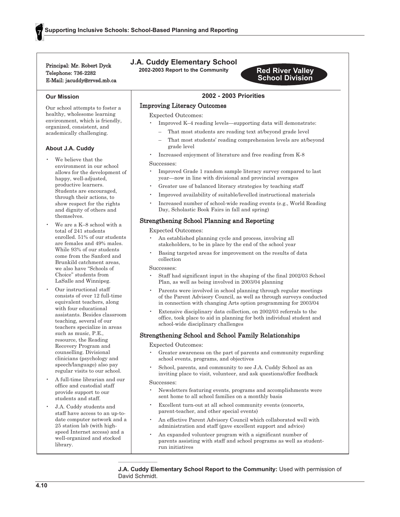Principal: Mr. Robert Dyck Telephone: 736-2282 E-Mail: jacuddy@rrvsd.mb.ca

# **J.A. Cuddy Elementary School**

2002-2003 Report to the Community



#### 2002 - 2003 Priorities

#### **Improving Literacy Outcomes**

**Expected Outcomes:** 

- Improved K-4 reading levels—supporting data will demonstrate:
	- That most students are reading text at/beyond grade level
	- That most students' reading comprehension levels are at/beyond grade level
- Increased enjoyment of literature and free reading from K-8

#### Successes:

- Improved Grade 1 random sample literacy survey compared to last year—now in line with divisional and provincial averages
- Greater use of balanced literacy strategies by teaching staff
- Improved availability of suitable/levelled instructional materials
- Increased number of school-wide reading events (e.g., World Reading Day, Scholastic Book Fairs in fall and spring)

#### **Strengthening School Planning and Reporting**

**Expected Outcomes:** 

- An established planning cycle and process, involving all stakeholders, to be in place by the end of the school year
- Basing targeted areas for improvement on the results of data collection

#### Successes:

- Staff had significant input in the shaping of the final 2002/03 School Plan, as well as being involved in 2003/04 planning
- Parents were involved in school planning through regular meetings of the Parent Advisory Council, as well as through surveys conducted in connection with changing Arts option programming for 2003/04
- Extensive disciplinary data collection, on 2002/03 referrals to the office, took place to aid in planning for both individual student and school-wide disciplinary challenges

#### Strengthening School and School Family Relationships

#### **Expected Outcomes:**

- Greater awareness on the part of parents and community regarding school events, programs, and objectives
- School, parents, and community to see J.A. Cuddy School as an inviting place to visit, volunteer, and ask questions/offer feedback

#### Successes:

- Newsletters featuring events, programs and accomplishments were sent home to all school families on a monthly basis
- Excellent turn-out at all school community events (concerts, parent-teacher, and other special events)
- An effective Parent Advisory Council which collaborated well with administration and staff (gave excellent support and advice)
- An expanded volunteer program with a significant number of parents assisting with staff and school programs as well as studentrun initiatives

J.A. Cuddy Elementary School Report to the Community: Used with permission of David Schmidt.

# **Our Mission**

Our school attempts to foster a healthy, wholesome learning environment, which is friendly, organized, consistent, and academically challenging.

#### About J.A. Cuddy

- We believe that the environment in our school allows for the development of happy, well-adjusted, productive learners. Students are encouraged, through their actions, to show respect for the rights and dignity of others and themselves
- We are a K-8 school with a total of 241 students enrolled 51% of our students are females and 49% males. While 93% of our students come from the Sanford and Brunkild catchment areas, we also have "Schools of Choice" students from LaSalle and Winnipeg.
- Our instructional staff consists of over 12 full-time equivalent teachers, along with four educational assistants. Besides classroom teaching, several of our teachers specialize in areas such as music, P.E., resource, the Reading Recovery Program and counselling. Divisional clinicians (psychology and speech/language) also pay regular visits to our school.
- A full-time librarian and our office and custodial staff provide support to our students and staff.
- J.A. Cuddy students and staff have access to an up-todate computer network and a 25 station lab (with highspeed Internet access) and a well-organized and stocked library.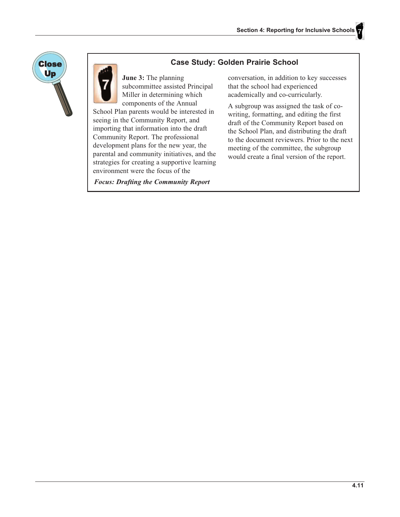



## **Case Study: Golden Prairie School**

June 3: The planning subcommittee assisted Principal Miller in determining which components of the Annual

School Plan parents would be interested in seeing in the Community Report, and importing that information into the draft Community Report. The professional development plans for the new year, the parental and community initiatives, and the strategies for creating a supportive learning environment were the focus of the

**Focus: Drafting the Community Report** 

conversation, in addition to key successes that the school had experienced academically and co-curricularly.

A subgroup was assigned the task of cowriting, formatting, and editing the first draft of the Community Report based on the School Plan, and distributing the draft to the document reviewers. Prior to the next meeting of the committee, the subgroup would create a final version of the report.